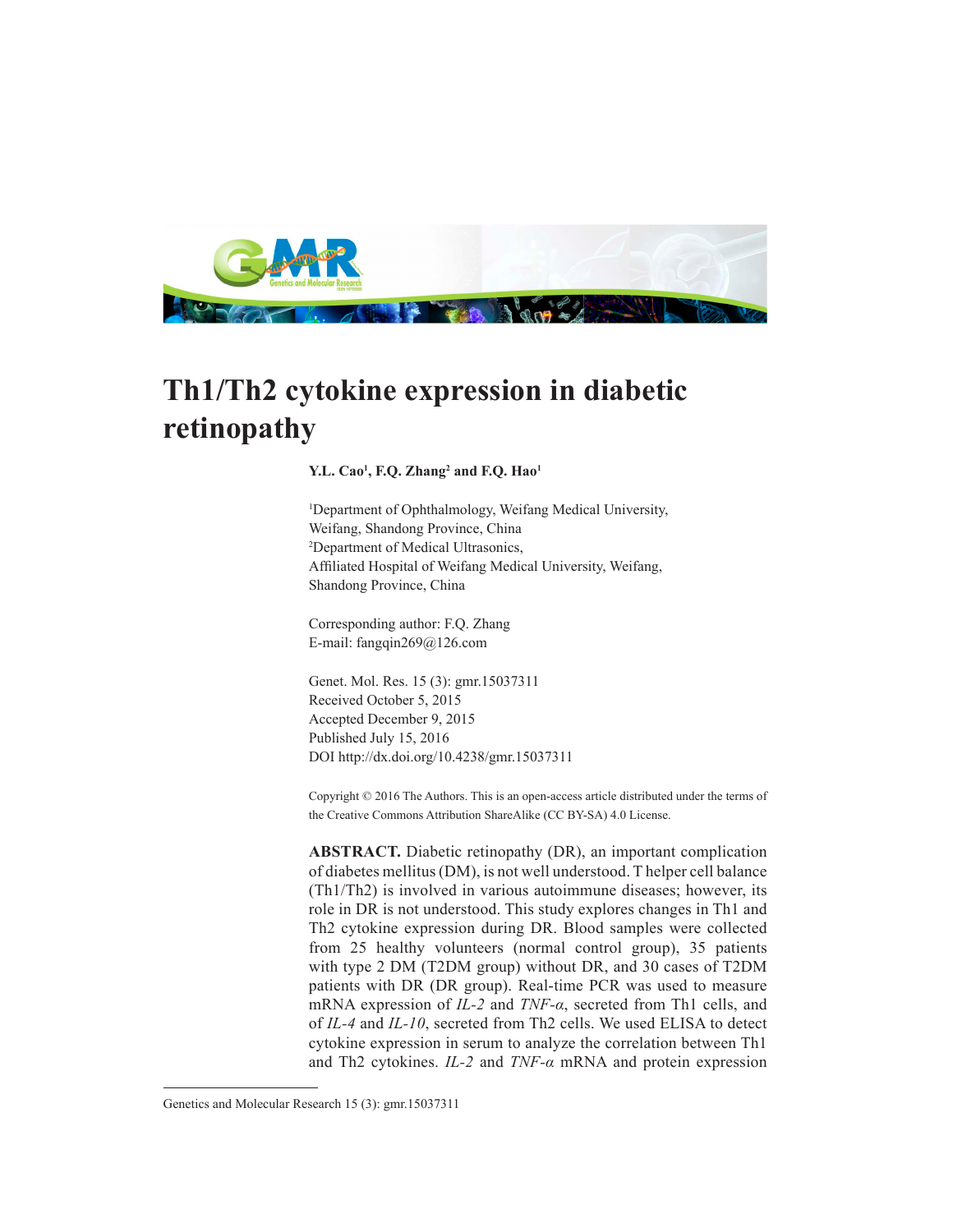

# **Th1/Th2 cytokine expression in diabetic retinopathy**

## **Y.L. Cao1 , F.Q. Zhang2 and F.Q. Hao1**

1 Department of Ophthalmology, Weifang Medical University, Weifang, Shandong Province, China 2 Department of Medical Ultrasonics, Affiliated Hospital of Weifang Medical University, Weifang, Shandong Province, China

Corresponding author: F.Q. Zhang E-mail: fangqin269@126.com

Genet. Mol. Res. 15 (3): gmr.15037311 Received October 5, 2015 Accepted December 9, 2015 Published July 15, 2016 DOI http://dx.doi.org/10.4238/gmr.15037311

Copyright © 2016 The Authors. This is an open-access article distributed under the terms of the Creative Commons Attribution ShareAlike (CC BY-SA) 4.0 License.

**ABSTRACT.** Diabetic retinopathy (DR), an important complication of diabetes mellitus (DM), is not well understood. T helper cell balance (Th1/Th2) is involved in various autoimmune diseases; however, its role in DR is not understood. This study explores changes in Th1 and Th2 cytokine expression during DR. Blood samples were collected from 25 healthy volunteers (normal control group), 35 patients with type 2 DM (T2DM group) without DR, and 30 cases of T2DM patients with DR (DR group). Real-time PCR was used to measure mRNA expression of *IL-2* and *TNF-α*, secreted from Th1 cells, and of *IL-4* and *IL-10*, secreted from Th2 cells. We used ELISA to detect cytokine expression in serum to analyze the correlation between Th1 and Th2 cytokines. *IL-2* and *TNF-α* mRNA and protein expression

Genetics and Molecular Research 15 (3): gmr.15037311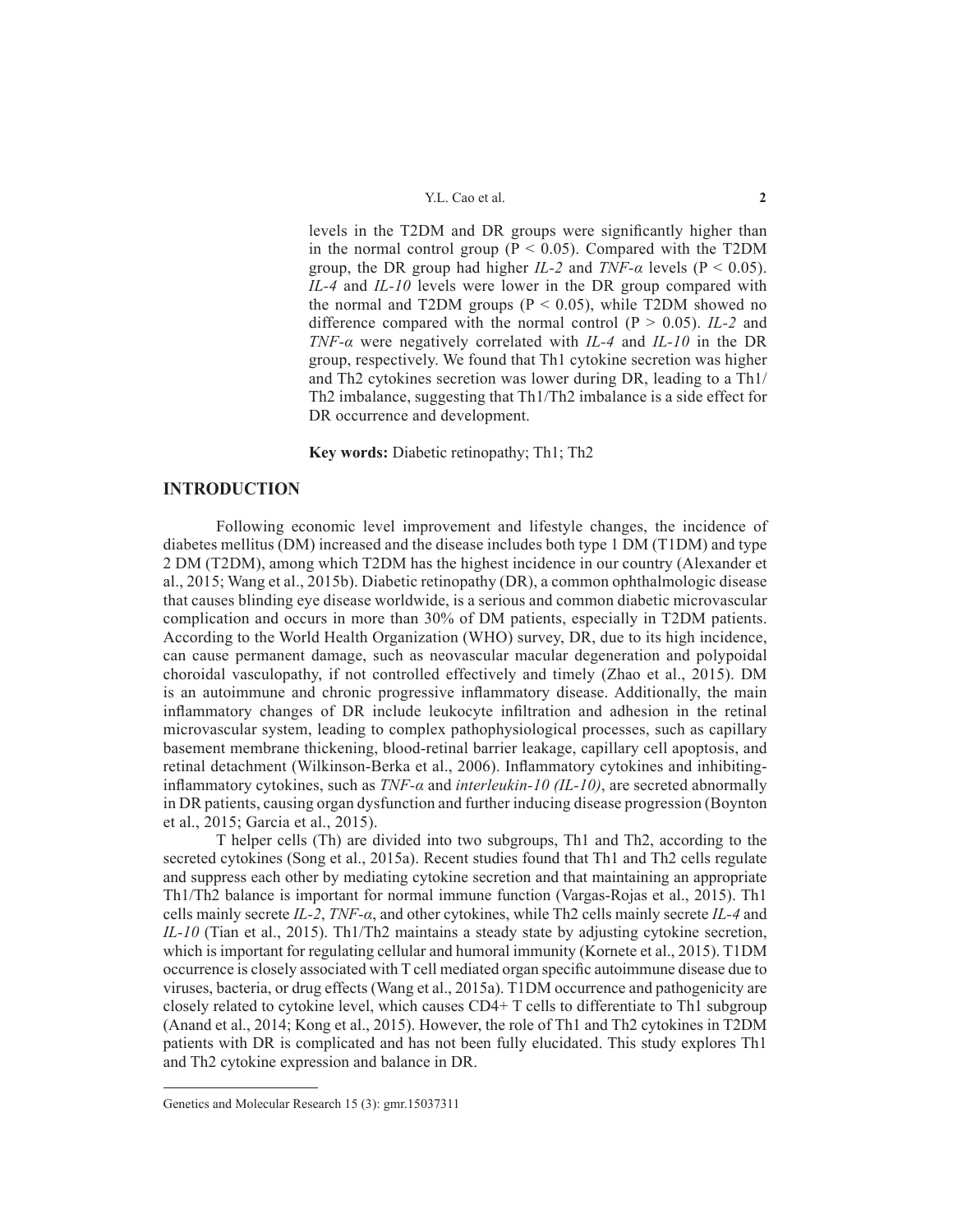levels in the T2DM and DR groups were significantly higher than in the normal control group ( $P < 0.05$ ). Compared with the T2DM group, the DR group had higher *IL-2* and *TNF-a* levels ( $P < 0.05$ ). *IL-4* and *IL-10* levels were lower in the DR group compared with the normal and T2DM groups ( $P < 0.05$ ), while T2DM showed no difference compared with the normal control  $(P > 0.05)$ . *IL-2* and *TNF-α* were negatively correlated with *IL-4* and *IL-10* in the DR group, respectively. We found that Th1 cytokine secretion was higher and Th2 cytokines secretion was lower during DR, leading to a Th1/ Th2 imbalance, suggesting that Th1/Th2 imbalance is a side effect for DR occurrence and development.

**Key words:** Diabetic retinopathy; Th1; Th2

# **INTRODUCTION**

Following economic level improvement and lifestyle changes, the incidence of diabetes mellitus (DM) increased and the disease includes both type 1 DM (T1DM) and type 2 DM (T2DM), among which T2DM has the highest incidence in our country (Alexander et al., 2015; Wang et al., 2015b). Diabetic retinopathy (DR), a common ophthalmologic disease that causes blinding eye disease worldwide, is a serious and common diabetic microvascular complication and occurs in more than 30% of DM patients, especially in T2DM patients. According to the World Health Organization (WHO) survey, DR, due to its high incidence, can cause permanent damage, such as neovascular macular degeneration and polypoidal choroidal vasculopathy, if not controlled effectively and timely (Zhao et al., 2015). DM is an autoimmune and chronic progressive inflammatory disease. Additionally, the main inflammatory changes of DR include leukocyte infiltration and adhesion in the retinal microvascular system, leading to complex pathophysiological processes, such as capillary basement membrane thickening, blood-retinal barrier leakage, capillary cell apoptosis, and retinal detachment (Wilkinson-Berka et al., 2006). Inflammatory cytokines and inhibitinginflammatory cytokines, such as *TNF-α* and *interleukin-10 (IL-10)*, are secreted abnormally in DR patients, causing organ dysfunction and further inducing disease progression (Boynton et al., 2015; Garcia et al., 2015).

T helper cells (Th) are divided into two subgroups, Th1 and Th2, according to the secreted cytokines (Song et al., 2015a). Recent studies found that Th1 and Th2 cells regulate and suppress each other by mediating cytokine secretion and that maintaining an appropriate Th1/Th2 balance is important for normal immune function (Vargas-Rojas et al., 2015). Th1 cells mainly secrete *IL-2*, *TNF-α*, and other cytokines, while Th2 cells mainly secrete *IL-4* and *IL-10* (Tian et al., 2015). Th1/Th2 maintains a steady state by adjusting cytokine secretion, which is important for regulating cellular and humoral immunity (Kornete et al., 2015). T1DM occurrence is closely associated with T cell mediated organ specific autoimmune disease due to viruses, bacteria, or drug effects (Wang et al., 2015a). T1DM occurrence and pathogenicity are closely related to cytokine level, which causes CD4+ T cells to differentiate to Th1 subgroup (Anand et al., 2014; Kong et al., 2015). However, the role of Th1 and Th2 cytokines in T2DM patients with DR is complicated and has not been fully elucidated. This study explores Th1 and Th2 cytokine expression and balance in DR.

Genetics and Molecular Research 15 (3): gmr.15037311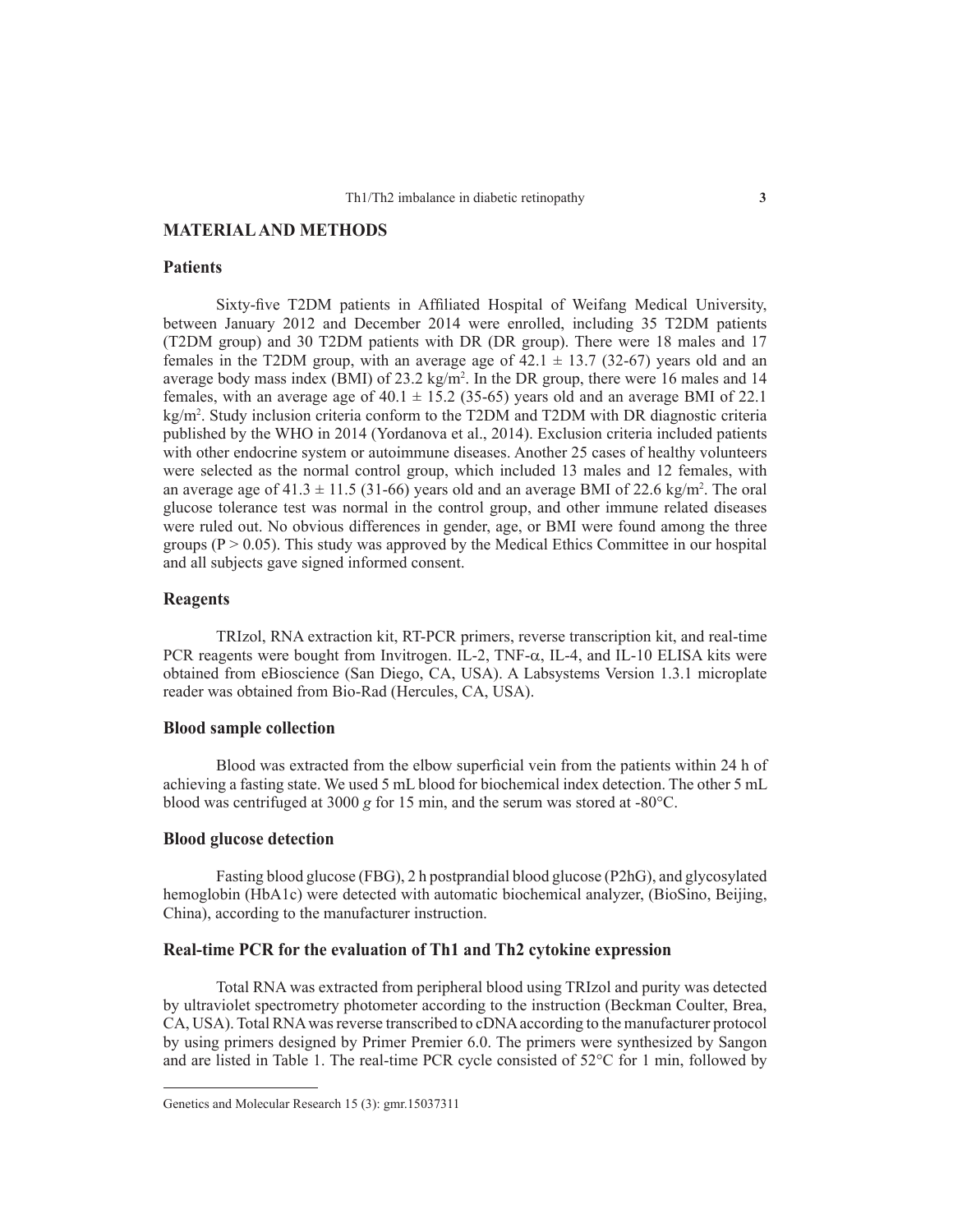# **MATERIAL AND METHODS**

## **Patients**

Sixty-five T2DM patients in Affiliated Hospital of Weifang Medical University, between January 2012 and December 2014 were enrolled, including 35 T2DM patients (T2DM group) and 30 T2DM patients with DR (DR group). There were 18 males and 17 females in the T2DM group, with an average age of  $42.1 \pm 13.7$  (32-67) years old and an average body mass index (BMI) of  $23.2 \text{ kg/m}^2$ . In the DR group, there were 16 males and 14 females, with an average age of  $40.1 \pm 15.2$  (35-65) years old and an average BMI of 22.1 kg/m2 . Study inclusion criteria conform to the T2DM and T2DM with DR diagnostic criteria published by the WHO in 2014 (Yordanova et al., 2014). Exclusion criteria included patients with other endocrine system or autoimmune diseases. Another 25 cases of healthy volunteers were selected as the normal control group, which included 13 males and 12 females, with an average age of  $41.3 \pm 11.5$  (31-66) years old and an average BMI of 22.6 kg/m<sup>2</sup>. The oral glucose tolerance test was normal in the control group, and other immune related diseases were ruled out. No obvious differences in gender, age, or BMI were found among the three groups ( $P > 0.05$ ). This study was approved by the Medical Ethics Committee in our hospital and all subjects gave signed informed consent.

## **Reagents**

TRIzol, RNA extraction kit, RT-PCR primers, reverse transcription kit, and real-time PCR reagents were bought from Invitrogen. IL-2, TNF- $\alpha$ , IL-4, and IL-10 ELISA kits were obtained from eBioscience (San Diego, CA, USA). A Labsystems Version 1.3.1 microplate reader was obtained from Bio-Rad (Hercules, CA, USA).

#### **Blood sample collection**

Blood was extracted from the elbow superficial vein from the patients within 24 h of achieving a fasting state. We used 5 mL blood for biochemical index detection. The other 5 mL blood was centrifuged at 3000 *g* for 15 min, and the serum was stored at -80°C.

#### **Blood glucose detection**

Fasting blood glucose (FBG), 2 h postprandial blood glucose (P2hG), and glycosylated hemoglobin (HbA1c) were detected with automatic biochemical analyzer, (BioSino, Beijing, China), according to the manufacturer instruction.

# **Real-time PCR for the evaluation of Th1 and Th2 cytokine expression**

Total RNA was extracted from peripheral blood using TRIzol and purity was detected by ultraviolet spectrometry photometer according to the instruction (Beckman Coulter, Brea, CA, USA). Total RNA was reverse transcribed to cDNA according to the manufacturer protocol by using primers designed by Primer Premier 6.0. The primers were synthesized by Sangon and are listed in Table 1. The real-time PCR cycle consisted of 52°C for 1 min, followed by

Genetics and Molecular Research 15 (3): gmr.15037311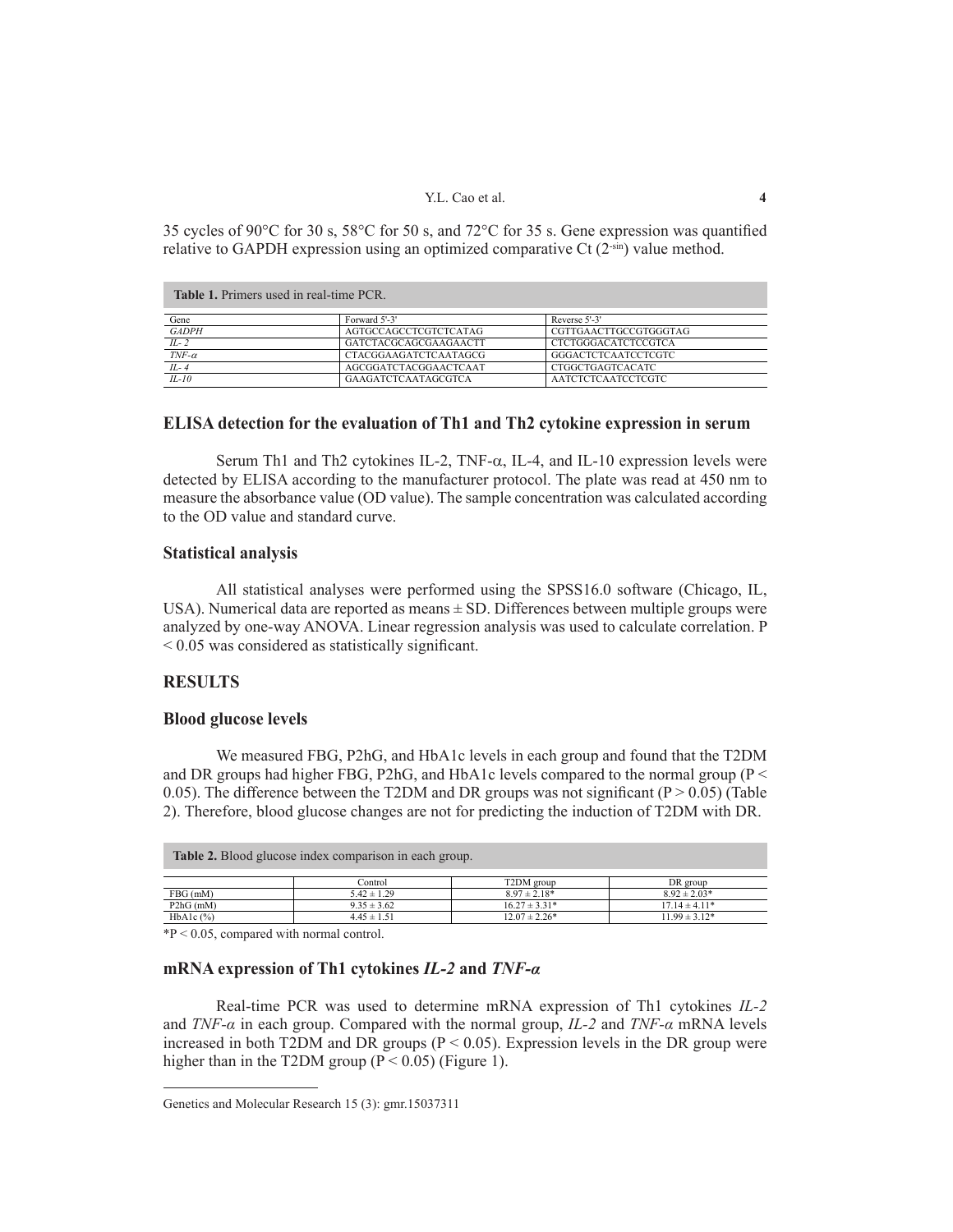## Y.L. Cao et al. **4**

35 cycles of 90°C for 30 s, 58°C for 50 s, and 72°C for 35 s. Gene expression was quantified relative to GAPDH expression using an optimized comparative Ct  $(2<sup>-sin</sup>)$  value method.

| <b>Table 1.</b> Primers used in real-time PCR. |                       |                            |  |  |
|------------------------------------------------|-----------------------|----------------------------|--|--|
| Gene                                           | Forward 5'-3'         | Reverse 5'-3'              |  |  |
| <b>GADPH</b>                                   | AGTGCCAGCCTCGTCTCATAG | CGTTGAACTTGCCGTGGGTAG      |  |  |
| $IL-2$                                         | GATCTACGCAGCGAAGAACTT | <b>CTCTGGGACATCTCCGTCA</b> |  |  |
| $TNF-\alpha$                                   | CTACGGAAGATCTCAATAGCG | GGGACTCTCAATCCTCGTC        |  |  |
| $IL-4$                                         | AGCGGATCTACGGAACTCAAT | CTGGCTGAGTCACATC           |  |  |
| $IL-10$                                        | GAAGATCTCAATAGCGTCA   | <b>AATCTCTCAATCCTCGTC</b>  |  |  |

## **ELISA detection for the evaluation of Th1 and Th2 cytokine expression in serum**

Serum Th1 and Th2 cytokines IL-2, TNF-a, IL-4, and IL-10 expression levels were detected by ELISA according to the manufacturer protocol. The plate was read at 450 nm to measure the absorbance value (OD value). The sample concentration was calculated according to the OD value and standard curve.

## **Statistical analysis**

All statistical analyses were performed using the SPSS16.0 software (Chicago, IL, USA). Numerical data are reported as means ± SD. Differences between multiple groups were analyzed by one-way ANOVA. Linear regression analysis was used to calculate correlation. P < 0.05 was considered as statistically significant.

## **RESULTS**

## **Blood glucose levels**

We measured FBG, P2hG, and HbA1c levels in each group and found that the T2DM and DR groups had higher FBG, P2hG, and HbA1c levels compared to the normal group ( $P \le$ 0.05). The difference between the T2DM and DR groups was not significant ( $P > 0.05$ ) (Table 2). Therefore, blood glucose changes are not for predicting the induction of T2DM with DR.

| <b>Table 2.</b> Blood glucose index comparison in each group. |                 |                   |                   |  |
|---------------------------------------------------------------|-----------------|-------------------|-------------------|--|
|                                                               | Control         | T2DM group        | DR group          |  |
| $FBG$ (mM)                                                    | $5.42 \pm 1.29$ | $8.97 \pm 2.18*$  | $8.92 \pm 2.03*$  |  |
| $P2hG$ (mM)                                                   | $9.35 \pm 3.62$ | $16.27 \pm 3.31*$ | $17.14 \pm 4.11*$ |  |
| $HbA1c$ $(\% )$                                               | $4.45 \pm 1.51$ | $12.07 \pm 2.26*$ | $11.99 \pm 3.12*$ |  |

\*P < 0.05, compared with normal control.

# **mRNA expression of Th1 cytokines** *IL-2* **and** *TNF-α*

Real-time PCR was used to determine mRNA expression of Th1 cytokines *IL-2* and *TNF-α* in each group. Compared with the normal group, *IL-2* and *TNF-α* mRNA levels increased in both T2DM and DR groups ( $P < 0.05$ ). Expression levels in the DR group were higher than in the T2DM group  $(P < 0.05)$  (Figure 1).

Genetics and Molecular Research 15 (3): gmr.15037311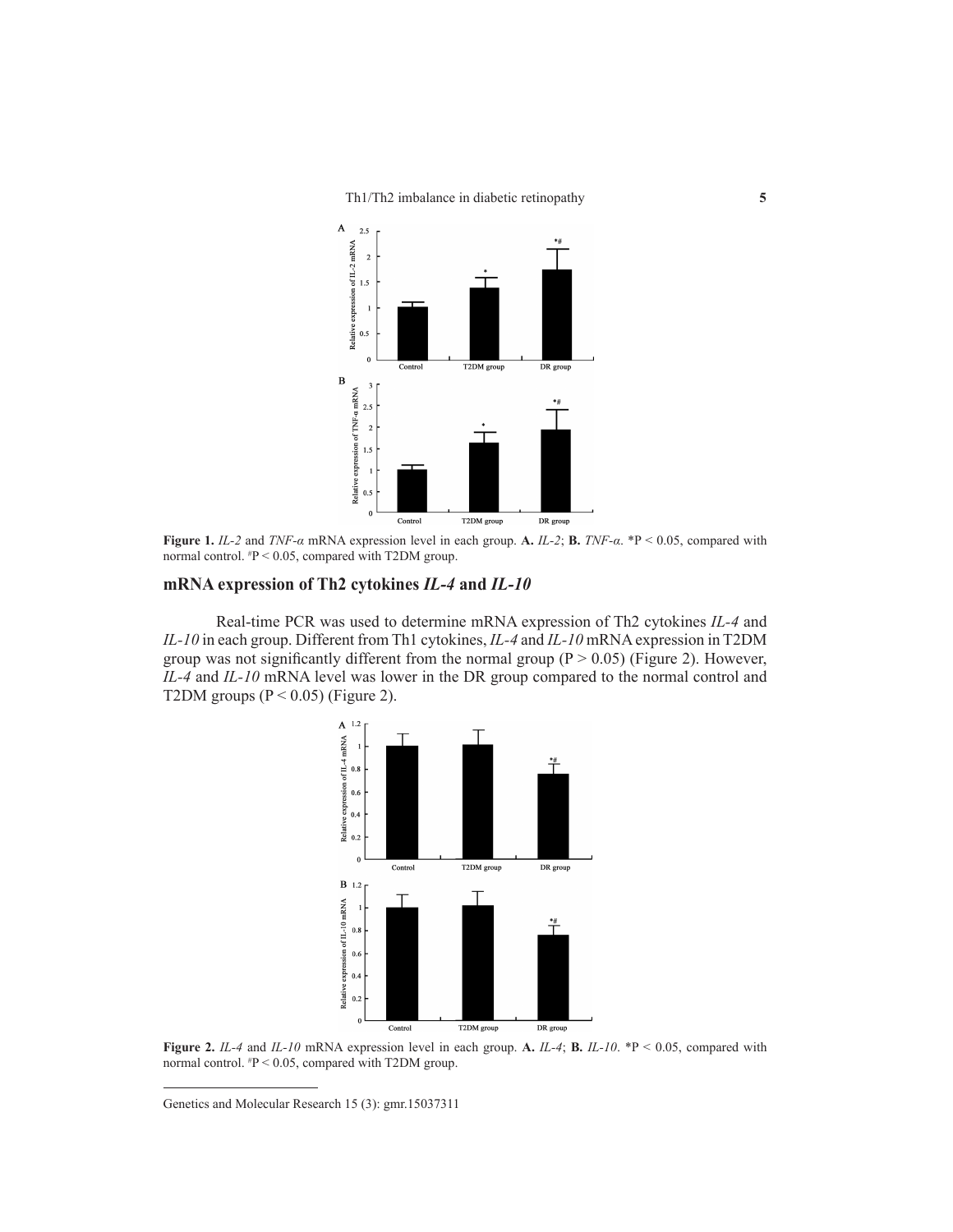

**Figure 1.** *IL-2* and *TNF-α* mRNA expression level in each group. **A.** *IL-2*; **B.** *TNF-α*. \*P < 0.05, compared with normal control. # P < 0.05, compared with T2DM group.

## **mRNA expression of Th2 cytokines** *IL-4* **and** *IL-10*

Real-time PCR was used to determine mRNA expression of Th2 cytokines *IL-4* and *IL-10* in each group. Different from Th1 cytokines, *IL-4* and *IL-10* mRNA expression in T2DM group was not significantly different from the normal group ( $P > 0.05$ ) (Figure 2). However, *IL-4* and *IL-10* mRNA level was lower in the DR group compared to the normal control and T2DM groups  $(P < 0.05)$  (Figure 2).



**Figure 2.** *IL-4* and *IL-10* mRNA expression level in each group. **A.** *IL-4*; **B.** *IL-10*. \*P < 0.05, compared with normal control. # P < 0.05, compared with T2DM group.

Genetics and Molecular Research 15 (3): gmr.15037311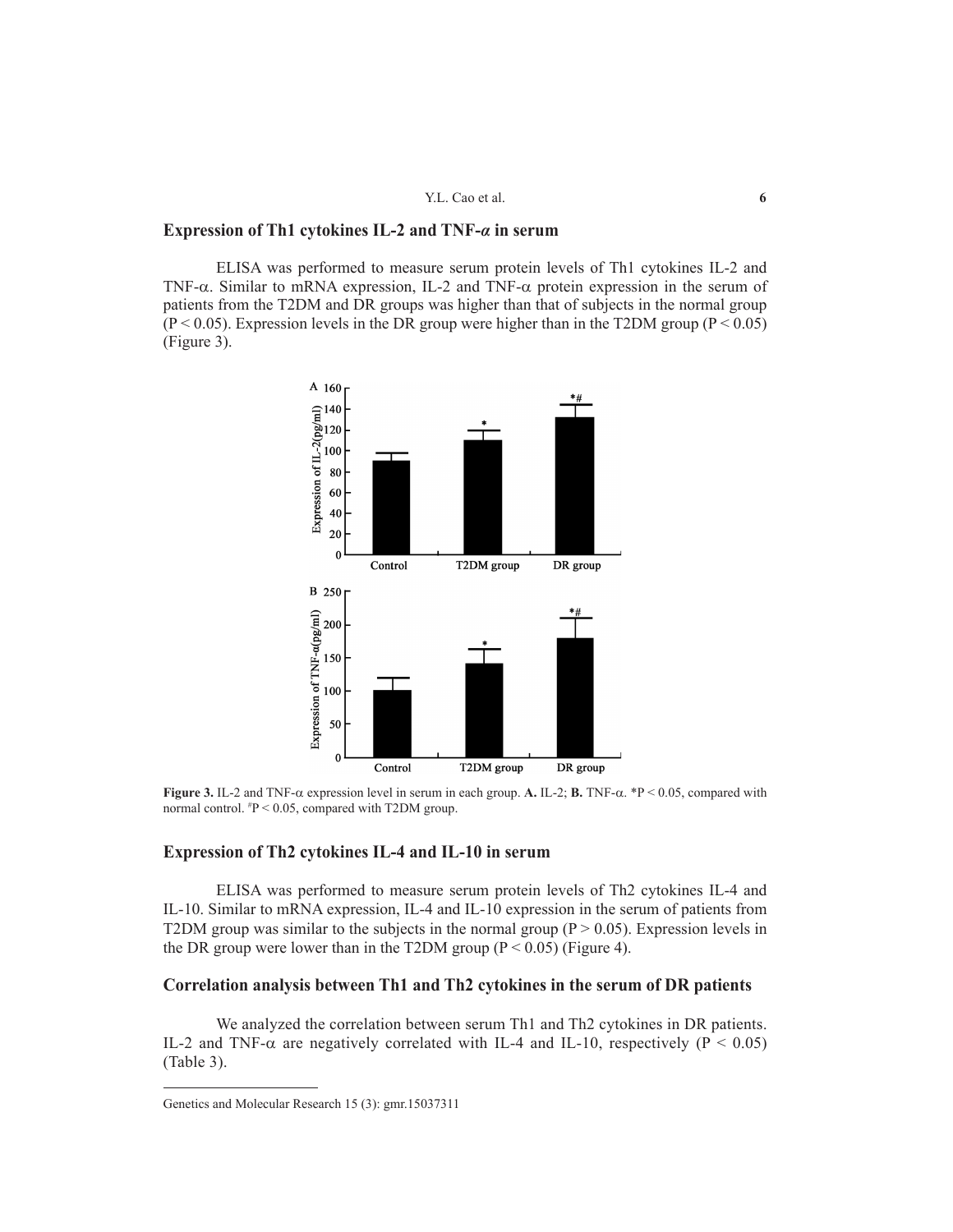## Y.L. Cao et al. **6**

# **Expression of Th1 cytokines IL-2 and TNF-***α* **in serum**

ELISA was performed to measure serum protein levels of Th1 cytokines IL-2 and TNF- $\alpha$ . Similar to mRNA expression, IL-2 and TNF- $\alpha$  protein expression in the serum of patients from the T2DM and DR groups was higher than that of subjects in the normal group  $(P < 0.05)$ . Expression levels in the DR group were higher than in the T2DM group  $(P < 0.05)$ (Figure 3).



**Figure 3.** IL-2 and TNF- $\alpha$  expression level in serum in each group. A. IL-2; **B.** TNF- $\alpha$ . \*P < 0.05, compared with normal control.  $P < 0.05$ , compared with T2DM group.

## **Expression of Th2 cytokines IL-4 and IL-10 in serum**

ELISA was performed to measure serum protein levels of Th2 cytokines IL-4 and IL-10. Similar to mRNA expression, IL-4 and IL-10 expression in the serum of patients from T2DM group was similar to the subjects in the normal group ( $P > 0.05$ ). Expression levels in the DR group were lower than in the T2DM group ( $P < 0.05$ ) (Figure 4).

# **Correlation analysis between Th1 and Th2 cytokines in the serum of DR patients**

We analyzed the correlation between serum Th1 and Th2 cytokines in DR patients. IL-2 and TNF- $\alpha$  are negatively correlated with IL-4 and IL-10, respectively ( $P < 0.05$ ) (Table 3).

Genetics and Molecular Research 15 (3): gmr.15037311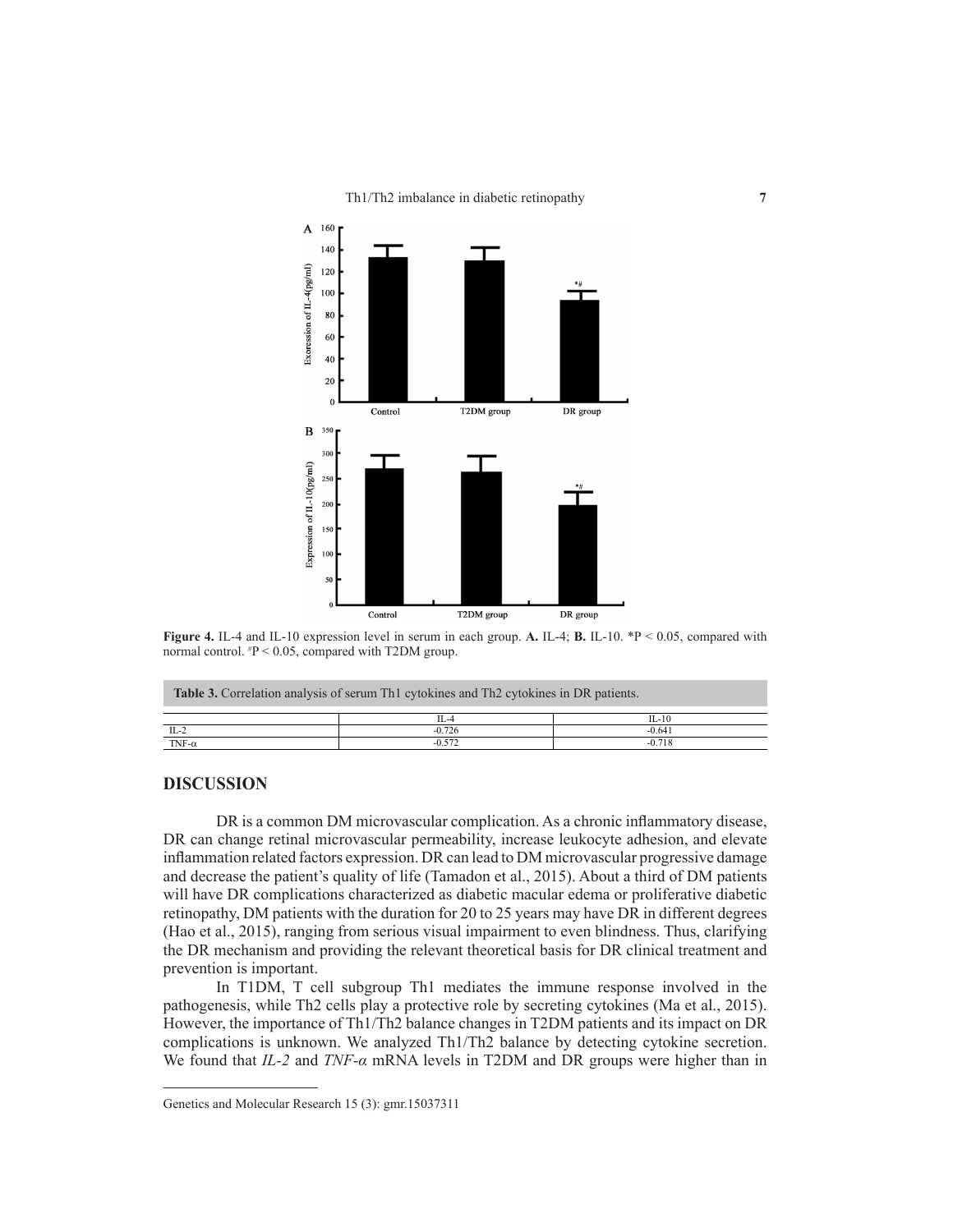

**Figure 4.** IL-4 and IL-10 expression level in serum in each group. **A.** IL-4; **B.** IL-10. \*P < 0.05, compared with normal control. # P < 0.05, compared with T2DM group.

| <b>Table 3.</b> Correlation analysis of serum Th <sub>1</sub> cytokines and Th <sub>2</sub> cytokines in DR patients. |          |           |  |  |
|-----------------------------------------------------------------------------------------------------------------------|----------|-----------|--|--|
|                                                                                                                       | $II - 4$ | $II - 10$ |  |  |
| $IL-2$                                                                                                                | $-0.726$ | $-0.641$  |  |  |
| TNF- $\alpha$                                                                                                         | $-0.572$ | $-0.718$  |  |  |

# **DISCUSSION**

DR is a common DM microvascular complication. As a chronic inflammatory disease, DR can change retinal microvascular permeability, increase leukocyte adhesion, and elevate inflammation related factors expression. DR can lead to DM microvascular progressive damage and decrease the patient's quality of life (Tamadon et al., 2015). About a third of DM patients will have DR complications characterized as diabetic macular edema or proliferative diabetic retinopathy, DM patients with the duration for 20 to 25 years may have DR in different degrees (Hao et al., 2015), ranging from serious visual impairment to even blindness. Thus, clarifying the DR mechanism and providing the relevant theoretical basis for DR clinical treatment and prevention is important.

In T1DM, T cell subgroup Th1 mediates the immune response involved in the pathogenesis, while Th2 cells play a protective role by secreting cytokines (Ma et al., 2015). However, the importance of Th1/Th2 balance changes in T2DM patients and its impact on DR complications is unknown. We analyzed Th1/Th2 balance by detecting cytokine secretion. We found that *IL-2* and *TNF-α* mRNA levels in T2DM and DR groups were higher than in

Genetics and Molecular Research 15 (3): gmr.15037311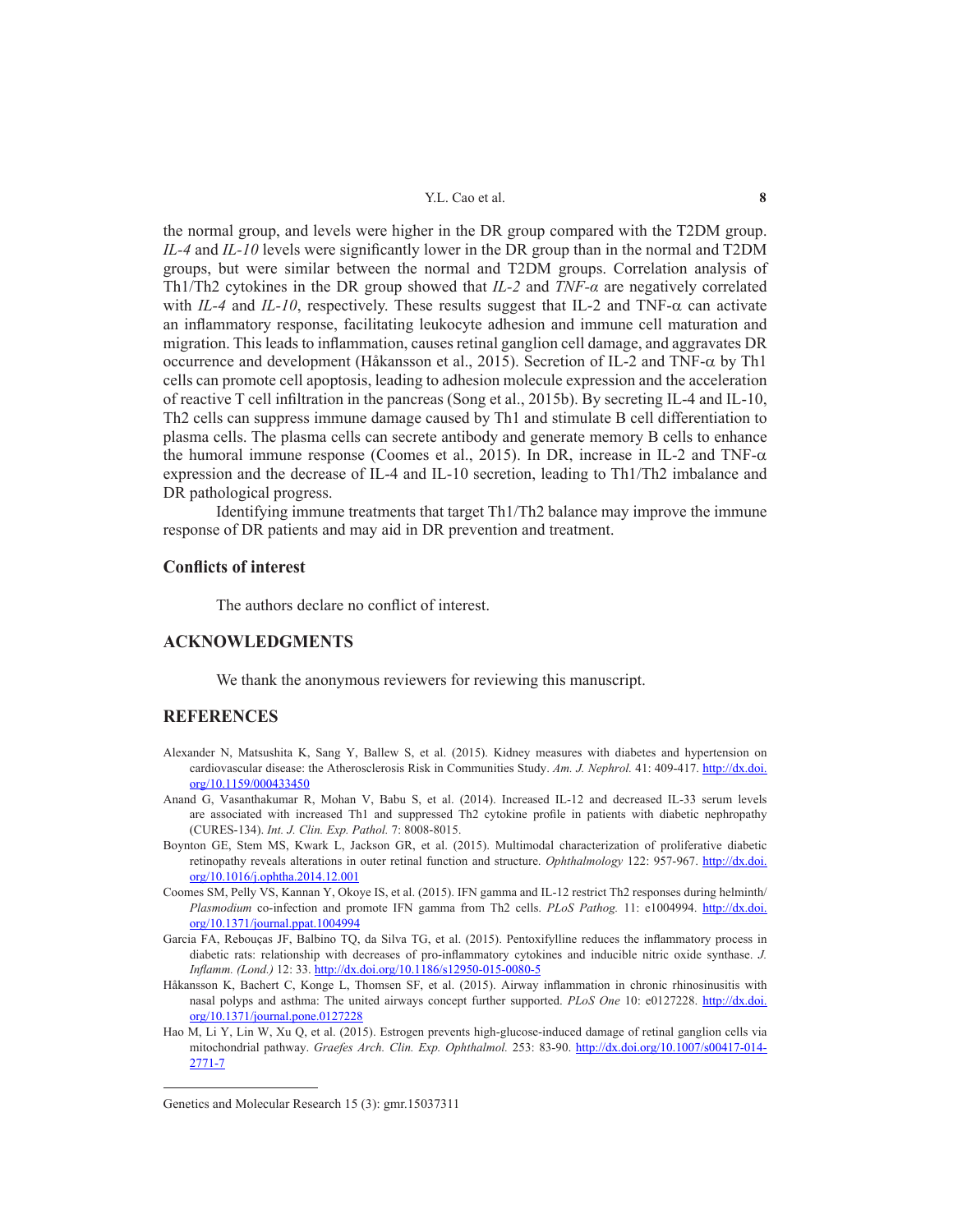#### Y.L. Cao et al. **8**

the normal group, and levels were higher in the DR group compared with the T2DM group. *IL-4* and *IL-10* levels were significantly lower in the DR group than in the normal and T2DM groups, but were similar between the normal and T2DM groups. Correlation analysis of Th1/Th2 cytokines in the DR group showed that *IL-2* and *TNF-α* are negatively correlated with *IL-4* and *IL-10*, respectively. These results suggest that IL-2 and TNF- $\alpha$  can activate an inflammatory response, facilitating leukocyte adhesion and immune cell maturation and migration. This leads to inflammation, causes retinal ganglion cell damage, and aggravates DR occurrence and development (Håkansson et al., 2015). Secretion of IL-2 and TNF- $\alpha$  by Th1 cells can promote cell apoptosis, leading to adhesion molecule expression and the acceleration of reactive T cell infiltration in the pancreas (Song et al., 2015b). By secreting IL-4 and IL-10, Th2 cells can suppress immune damage caused by Th1 and stimulate B cell differentiation to plasma cells. The plasma cells can secrete antibody and generate memory B cells to enhance the humoral immune response (Coomes et al., 2015). In DR, increase in IL-2 and TNF- $\alpha$ expression and the decrease of IL-4 and IL-10 secretion, leading to Th1/Th2 imbalance and DR pathological progress.

Identifying immune treatments that target Th1/Th2 balance may improve the immune response of DR patients and may aid in DR prevention and treatment.

## **Conflicts of interest**

The authors declare no conflict of interest.

# **ACKNOWLEDGMENTS**

We thank the anonymous reviewers for reviewing this manuscript.

### **REFERENCES**

- Alexander N, Matsushita K, Sang Y, Ballew S, et al. (2015). Kidney measures with diabetes and hypertension on cardiovascular disease: the Atherosclerosis Risk in Communities Study. *Am. J. Nephrol.* 41: 409-417. http://dx.doi. org/10.1159/000433450
- Anand G, Vasanthakumar R, Mohan V, Babu S, et al. (2014). Increased IL-12 and decreased IL-33 serum levels are associated with increased Th1 and suppressed Th2 cytokine profile in patients with diabetic nephropathy (CURES-134). *Int. J. Clin. Exp. Pathol.* 7: 8008-8015.
- Boynton GE, Stem MS, Kwark L, Jackson GR, et al. (2015). Multimodal characterization of proliferative diabetic retinopathy reveals alterations in outer retinal function and structure. *Ophthalmology* 122: 957-967. http://dx.doi. org/10.1016/j.ophtha.2014.12.001
- Coomes SM, Pelly VS, Kannan Y, Okoye IS, et al. (2015). IFN gamma and IL-12 restrict Th2 responses during helminth/ *Plasmodium* co-infection and promote IFN gamma from Th2 cells. *PLoS Pathog.* 11: e1004994. http://dx.doi. org/10.1371/journal.ppat.1004994
- Garcia FA, Rebouças JF, Balbino TQ, da Silva TG, et al. (2015). Pentoxifylline reduces the inflammatory process in diabetic rats: relationship with decreases of pro-inflammatory cytokines and inducible nitric oxide synthase. *J. Inflamm. (Lond.)* 12: 33. http://dx.doi.org/10.1186/s12950-015-0080-5
- Håkansson K, Bachert C, Konge L, Thomsen SF, et al. (2015). Airway inflammation in chronic rhinosinusitis with nasal polyps and asthma: The united airways concept further supported. *PLoS One* 10: e0127228. http://dx.doi. org/10.1371/journal.pone.0127228
- Hao M, Li Y, Lin W, Xu Q, et al. (2015). Estrogen prevents high-glucose-induced damage of retinal ganglion cells via mitochondrial pathway. *Graefes Arch. Clin. Exp. Ophthalmol.* 253: 83-90. http://dx.doi.org/10.1007/s00417-014- 2771-7

Genetics and Molecular Research 15 (3): gmr.15037311